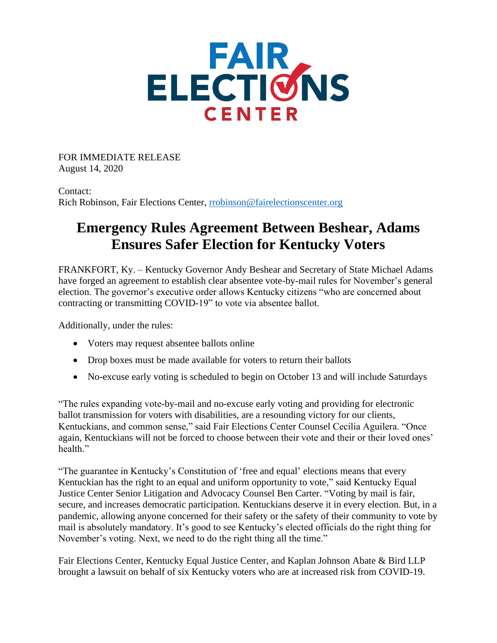

FOR IMMEDIATE RELEASE August 14, 2020

Contact: Rich Robinson, Fair Elections Center, [rrobinson@fairelectionscenter.org](mailto:rrobinson@fairelectionscenter.org)

## **Emergency Rules Agreement Between Beshear, Adams Ensures Safer Election for Kentucky Voters**

FRANKFORT, Ky. – Kentucky Governor Andy Beshear and Secretary of State Michael Adams have forged an agreement to establish clear absentee vote-by-mail rules for November's general election. The governor's executive order allows Kentucky citizens "who are concerned about contracting or transmitting COVID-19" to vote via absentee ballot.

Additionally, under the rules:

- Voters may request absentee ballots online
- Drop boxes must be made available for voters to return their ballots
- No-excuse early voting is scheduled to begin on October 13 and will include Saturdays

"The rules expanding vote-by-mail and no-excuse early voting and providing for electronic ballot transmission for voters with disabilities, are a resounding victory for our clients, Kentuckians, and common sense," said Fair Elections Center Counsel Cecilia Aguilera. "Once again, Kentuckians will not be forced to choose between their vote and their or their loved ones' health"

"The guarantee in Kentucky's Constitution of 'free and equal' elections means that every Kentuckian has the right to an equal and uniform opportunity to vote," said Kentucky Equal Justice Center Senior Litigation and Advocacy Counsel Ben Carter. "Voting by mail is fair, secure, and increases democratic participation. Kentuckians deserve it in every election. But, in a pandemic, allowing anyone concerned for their safety or the safety of their community to vote by mail is absolutely mandatory. It's good to see Kentucky's elected officials do the right thing for November's voting. Next, we need to do the right thing all the time."

Fair Elections Center, Kentucky Equal Justice Center, and Kaplan Johnson Abate & Bird LLP brought a lawsuit on behalf of six Kentucky voters who are at increased risk from COVID-19.